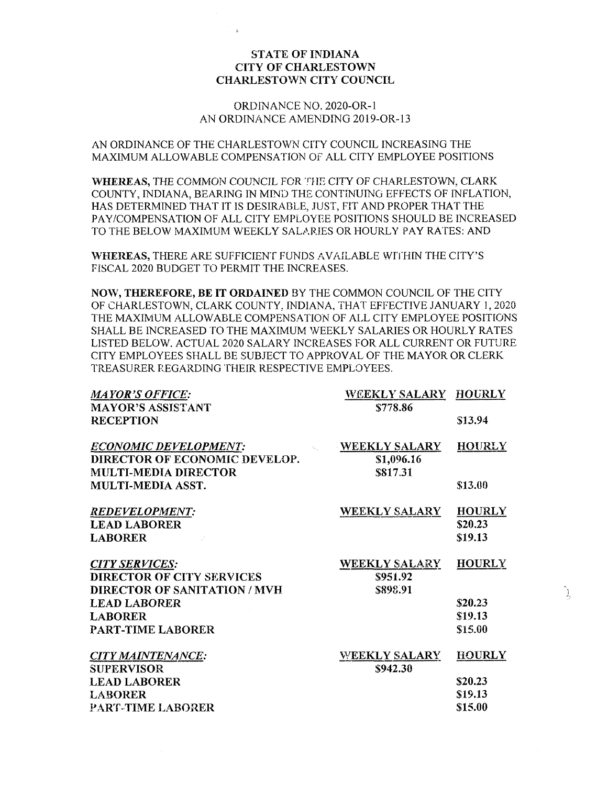# STATE OF INDIANA CITY OF CHARI.ESTOWN CHARLESTOWN CITY COUNCIL

# ORDINANCE NO. 2020-OR-1 AN ORDINANCE AMENDING 2019-OR-13

AN ORDINANCE OF THE CHARLESTOWN CITY COUNCIL INCREASING THE MAXIMUM ALLOWABLE COMPENSATION OF ALL CITY EMPLOYEE POSITIONS

WHEREAS, THE COMMON COUNCIL FOR THE CITY OF CHARLESTOWN, CLARK COUNTY, INDIANA, BEARING IN MIND THE CONTINUING EFFECTS OF INFLATION, HAS DETERMINED THAT IT IS DESIRABLE, JUST, FIT AND PROPER THAT THE PAY/COMPENSATION OF ALL CITY EMPLOYEE POSITIONS SHOULD BE INCREASED TO THE BELOW MAXIMUM WEEKLY SALARIES OR HOURLY PAY RATES: AND

WHEREAS, THERE ARE SUFFICIENT FUNDS AVAILABLE WITHIN THE CITY'S FISCAL 2020 BUDGET TO PERMIT THE INCREASES.

NOW, THEREFORE, BE IT ORDAINED BY THE COMMON COUNCIL OF THE CITY OF CHARLESTOWN, CLARK COUNTY, INDIANA, THAT EFFECTIVE JANUARY 1,2020 THE MAXIMUM ALLOWABLE COMPENSATION OF ALL CITY EMPLOYEE POSITIONS SHALL BE INCREASED TO THE MAXIMUM WEEKLY SALARIES OR HOURLY RATES LISTED BELOW. ACTUAL 2020 SALARY INCREASES FOR ALL CURRENT OR FUTURE CITY EMPLOYEES SHALL BE SUBJECT TO APPROVAL OF THE MAYOR OR CLERK TREASURER REGARDING THEIR RESPECTIVE EMPLOYEES.

| <b>MAYOR'S OFFICE:</b>                                                                                                                                  | WEEKLY SALARY HOURLY                         |                                                |
|---------------------------------------------------------------------------------------------------------------------------------------------------------|----------------------------------------------|------------------------------------------------|
| <b>MAYOR'S ASSISTANT</b>                                                                                                                                | \$778.86                                     |                                                |
| <b>RECEPTION</b>                                                                                                                                        |                                              | \$13.94                                        |
| <b>ECONOMIC DEVELOPMENT:</b><br>DIRECTOR OF ECONOMIC DEVELOP.                                                                                           | <b>WEEKLY SALARY</b><br>\$1,096.16           | <b>HOURLY</b>                                  |
| <b>MULTI-MEDIA DIRECTOR</b><br>MULTI-MEDIA ASST.                                                                                                        | \$817.31                                     | \$13.00                                        |
| <b>REDEVELOPMENT:</b><br><b>LEAD LABORER</b><br><b>LABORER</b>                                                                                          | <b>WEEKLY SALARY</b>                         | <b>HOURLY</b><br>\$20.23<br>\$19.13            |
| <b>CITY SERVICES:</b><br>DIRECTOR OF CITY SERVICES<br><b>DIRECTOR OF SANITATION / MVH</b><br><b>LEAD LABORER</b><br><b>LABORER</b><br>PART-TIME LABORER | <b>WEEKLY SALARY</b><br>\$951.92<br>\$898.91 | <b>HOURLY</b><br>\$20.23<br>\$19.13<br>\$15.00 |
| <b>CITY MAINTENANCE:</b><br><b>SUPERVISOR</b><br><b>LEAD LABORER</b><br><b>LABORER</b><br>PART-TIME LABORER                                             | <b>WEEKLY SALARY</b><br>\$942.30             | <b>HOURLY</b><br>\$20.23<br>\$19.13<br>\$15.00 |

J.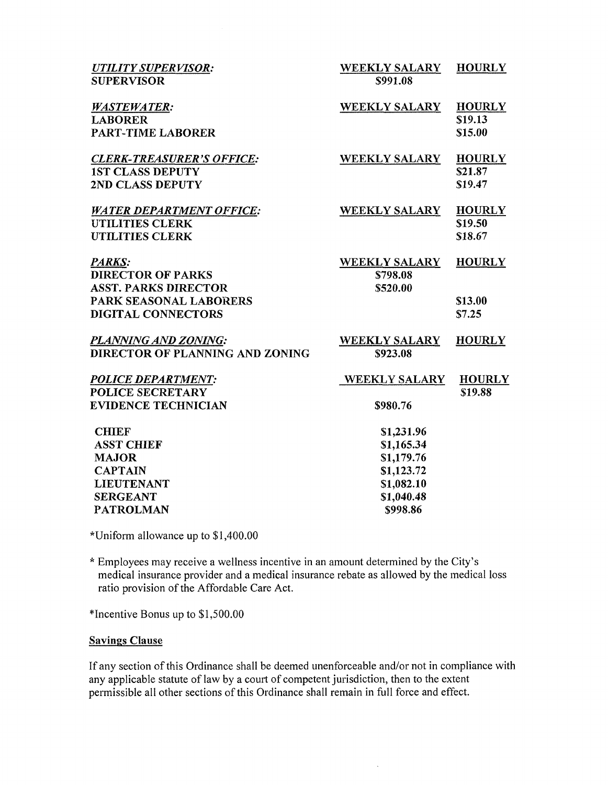| <b>UTILITY SUPERVISOR:</b><br><b>SUPERVISOR</b>                                                                                 | <b>WEEKLY SALARY</b><br>\$991.08                                                             | <b>HOURLY</b>                       |
|---------------------------------------------------------------------------------------------------------------------------------|----------------------------------------------------------------------------------------------|-------------------------------------|
| <b>WASTEWATER:</b><br><b>LABORER</b><br><b>PART-TIME LABORER</b>                                                                | <b>WEEKLY SALARY</b>                                                                         | <b>HOURLY</b><br>\$19.13<br>\$15.00 |
| <b>CLERK-TREASURER'S OFFICE:</b><br><b>1ST CLASS DEPUTY</b><br>2ND CLASS DEPUTY                                                 | WEEKLY SALARY                                                                                | <b>HOURLY</b><br>\$21.87<br>\$19.47 |
| <b>WATER DEPARTMENT OFFICE:</b><br><b>UTILITIES CLERK</b><br><b>UTILITIES CLERK</b>                                             | <b>WEEKLY SALARY</b>                                                                         | <b>HOURLY</b><br>\$19.50<br>\$18.67 |
| PARKS:<br><b>DIRECTOR OF PARKS</b><br><b>ASST. PARKS DIRECTOR</b><br>PARK SEASONAL LABORERS<br><b>DIGITAL CONNECTORS</b>        | <b>WEEKLY SALARY</b><br>\$798.08<br>\$520.00                                                 | <b>HOURLY</b><br>\$13.00<br>\$7.25  |
| PLANNING AND ZONING:<br>DIRECTOR OF PLANNING AND ZONING                                                                         | <b>WEEKLY SALARY</b><br>\$923.08                                                             | <b>HOURLY</b>                       |
| <b>POLICE DEPARTMENT:</b><br><b>POLICE SECRETARY</b><br><b>EVIDENCE TECHNICIAN</b>                                              | <b>WEEKLY SALARY</b><br>\$980.76                                                             | <b>HOURLY</b><br>\$19.88            |
| <b>CHIEF</b><br><b>ASST CHIEF</b><br><b>MAJOR</b><br><b>CAPTAIN</b><br><b>LIEUTENANT</b><br><b>SERGEANT</b><br><b>PATROLMAN</b> | \$1,231.96<br>\$1,165.34<br>\$1,179.76<br>\$1,123.72<br>\$1,082.10<br>\$1,040.48<br>\$998.86 |                                     |
|                                                                                                                                 |                                                                                              |                                     |

\*Uniform allowance up to \$1,400.00

\* Employees may receive a wellness incentive in an amount determined by the City's medical insurance provider and a medical insurance rebate as allowed by the medical loss ratio provision of the Affordable Care Act.

\*Incentive Bonus up to \$1,500.00

# Savings Clause

If any section of this Ordinance shall be deemed unenforceable and/or not in compliance with any applicable statute of law by a court of competent jurisdiction, then to the extent permissible all other sections of this Ordinance shall remain in full force and effect.

 $\bar{z}$